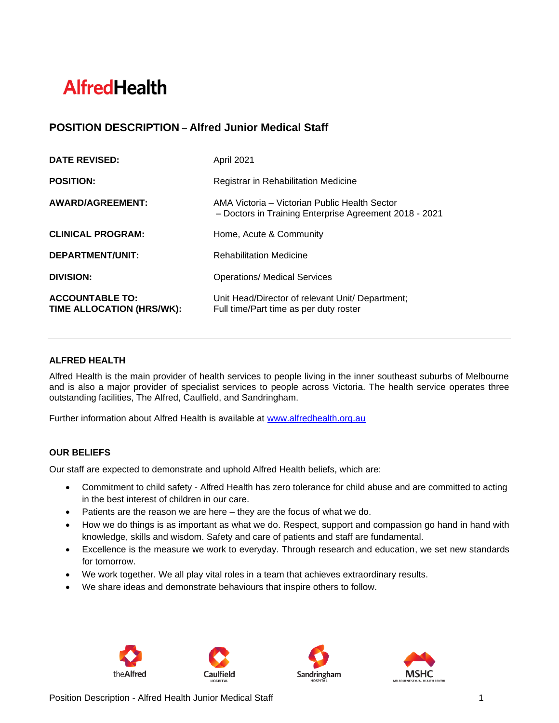# **AlfredHealth**

## **POSITION DESCRIPTION – Alfred Junior Medical Staff**

| <b>DATE REVISED:</b>                                | April 2021                                                                                              |
|-----------------------------------------------------|---------------------------------------------------------------------------------------------------------|
| <b>POSITION:</b>                                    | Registrar in Rehabilitation Medicine                                                                    |
| AWARD/AGREEMENT:                                    | AMA Victoria – Victorian Public Health Sector<br>- Doctors in Training Enterprise Agreement 2018 - 2021 |
| <b>CLINICAL PROGRAM:</b>                            | Home, Acute & Community                                                                                 |
| DEPARTMENT/UNIT:                                    | <b>Rehabilitation Medicine</b>                                                                          |
| <b>DIVISION:</b>                                    | <b>Operations/ Medical Services</b>                                                                     |
| <b>ACCOUNTABLE TO:</b><br>TIME ALLOCATION (HRS/WK): | Unit Head/Director of relevant Unit/ Department;<br>Full time/Part time as per duty roster              |

## **ALFRED HEALTH**

Alfred Health is the main provider of health services to people living in the inner southeast suburbs of Melbourne and is also a major provider of specialist services to people across Victoria. The health service operates three outstanding facilities, The Alfred, Caulfield, and Sandringham.

Further information about Alfred Health is available at [www.alfredhealth.org.au](http://www.alfred.org.au/)

## **OUR BELIEFS**

Our staff are expected to demonstrate and uphold Alfred Health beliefs, which are:

- Commitment to child safety Alfred Health has zero tolerance for child abuse and are committed to acting in the best interest of children in our care.
- Patients are the reason we are here they are the focus of what we do.
- How we do things is as important as what we do. Respect, support and compassion go hand in hand with knowledge, skills and wisdom. Safety and care of patients and staff are fundamental.
- Excellence is the measure we work to everyday. Through research and education, we set new standards for tomorrow.
- We work together. We all play vital roles in a team that achieves extraordinary results.
- We share ideas and demonstrate behaviours that inspire others to follow.







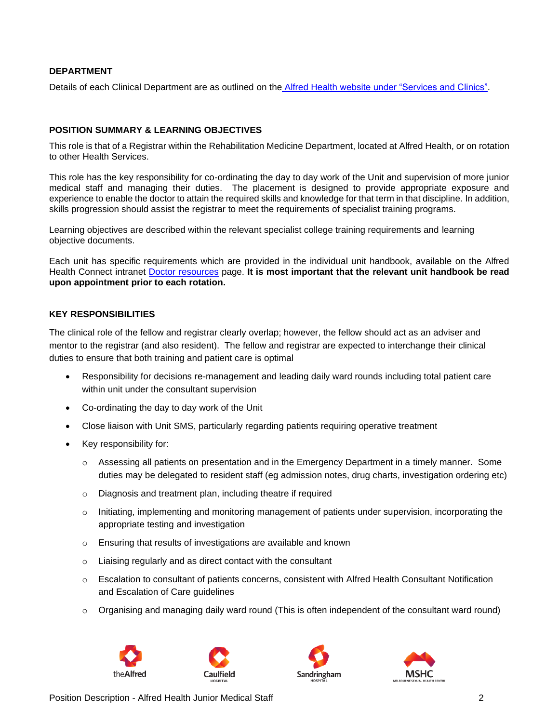#### **DEPARTMENT**

Details of each Clinical Department are as outlined on the [Alfred Health website under "Services and Clinics".](https://www.alfredhealth.org.au/services/)

#### **POSITION SUMMARY & LEARNING OBJECTIVES**

This role is that of a Registrar within the Rehabilitation Medicine Department, located at Alfred Health, or on rotation to other Health Services.

This role has the key responsibility for co-ordinating the day to day work of the Unit and supervision of more junior medical staff and managing their duties. The placement is designed to provide appropriate exposure and experience to enable the doctor to attain the required skills and knowledge for that term in that discipline. In addition, skills progression should assist the registrar to meet the requirements of specialist training programs.

Learning objectives are described within the relevant specialist college training requirements and learning objective documents.

Each unit has specific requirements which are provided in the individual unit handbook, available on the Alfred Health Connect intranet Doctor [resources](https://alfredhealthconnect.sharepoint.com/Resources/HMOResources/Pages/Home.aspx) page. **It is most important that the relevant unit handbook be read upon appointment prior to each rotation.**

#### **KEY RESPONSIBILITIES**

The clinical role of the fellow and registrar clearly overlap; however, the fellow should act as an adviser and mentor to the registrar (and also resident). The fellow and registrar are expected to interchange their clinical duties to ensure that both training and patient care is optimal

- Responsibility for decisions re-management and leading daily ward rounds including total patient care within unit under the consultant supervision
- Co-ordinating the day to day work of the Unit
- Close liaison with Unit SMS, particularly regarding patients requiring operative treatment
- Key responsibility for:
	- $\circ$  Assessing all patients on presentation and in the Emergency Department in a timely manner. Some duties may be delegated to resident staff (eg admission notes, drug charts, investigation ordering etc)
	- o Diagnosis and treatment plan, including theatre if required
	- o Initiating, implementing and monitoring management of patients under supervision, incorporating the appropriate testing and investigation
	- o Ensuring that results of investigations are available and known
	- o Liaising regularly and as direct contact with the consultant
	- o Escalation to consultant of patients concerns, consistent with Alfred Health Consultant Notification and Escalation of Care guidelines
	- $\circ$  Organising and managing daily ward round (This is often independent of the consultant ward round)







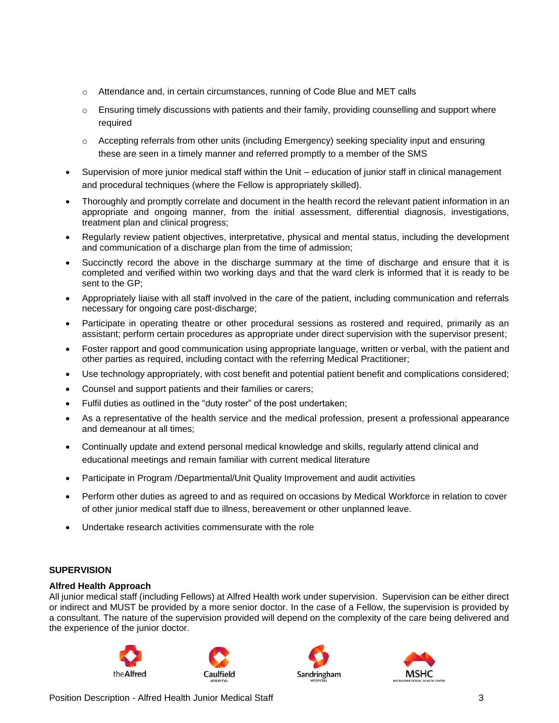- $\circ$  Attendance and, in certain circumstances, running of Code Blue and MET calls
- o Ensuring timely discussions with patients and their family, providing counselling and support where required
- o Accepting referrals from other units (including Emergency) seeking speciality input and ensuring these are seen in a timely manner and referred promptly to a member of the SMS
- Supervision of more junior medical staff within the Unit education of junior staff in clinical management and procedural techniques (where the Fellow is appropriately skilled).
- Thoroughly and promptly correlate and document in the health record the relevant patient information in an appropriate and ongoing manner, from the initial assessment, differential diagnosis, investigations, treatment plan and clinical progress;
- Regularly review patient objectives, interpretative, physical and mental status, including the development and communication of a discharge plan from the time of admission;
- Succinctly record the above in the discharge summary at the time of discharge and ensure that it is completed and verified within two working days and that the ward clerk is informed that it is ready to be sent to the GP;
- Appropriately liaise with all staff involved in the care of the patient, including communication and referrals necessary for ongoing care post-discharge;
- Participate in operating theatre or other procedural sessions as rostered and required, primarily as an assistant; perform certain procedures as appropriate under direct supervision with the supervisor present;
- Foster rapport and good communication using appropriate language, written or verbal, with the patient and other parties as required, including contact with the referring Medical Practitioner;
- Use technology appropriately, with cost benefit and potential patient benefit and complications considered;
- Counsel and support patients and their families or carers;
- Fulfil duties as outlined in the "duty roster" of the post undertaken;
- As a representative of the health service and the medical profession, present a professional appearance and demeanour at all times;
- Continually update and extend personal medical knowledge and skills, regularly attend clinical and educational meetings and remain familiar with current medical literature
- Participate in Program /Departmental/Unit Quality Improvement and audit activities
- Perform other duties as agreed to and as required on occasions by Medical Workforce in relation to cover of other junior medical staff due to illness, bereavement or other unplanned leave.
- Undertake research activities commensurate with the role

## **SUPERVISION**

#### **Alfred Health Approach**

All junior medical staff (including Fellows) at Alfred Health work under supervision. Supervision can be either direct or indirect and MUST be provided by a more senior doctor. In the case of a Fellow, the supervision is provided by a consultant. The nature of the supervision provided will depend on the complexity of the care being delivered and the experience of the junior doctor.







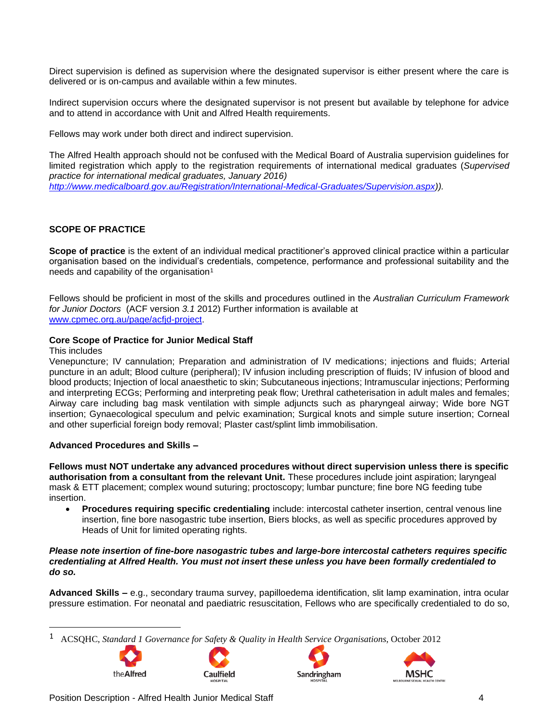Direct supervision is defined as supervision where the designated supervisor is either present where the care is delivered or is on-campus and available within a few minutes.

Indirect supervision occurs where the designated supervisor is not present but available by telephone for advice and to attend in accordance with Unit and Alfred Health requirements.

Fellows may work under both direct and indirect supervision.

The Alfred Health approach should not be confused with the Medical Board of Australia supervision guidelines for limited registration which apply to the registration requirements of international medical graduates (*Supervised practice for international medical graduates, January 2016) [http://www.medicalboard.gov.au/Registration/International-Medical-Graduates/Supervision.aspx\)](http://www.medicalboard.gov.au/Registration/International-Medical-Graduates/Supervision.aspx)).*

## **SCOPE OF PRACTICE**

**Scope of practice** is the extent of an individual medical practitioner's approved clinical practice within a particular organisation based on the individual's credentials, competence, performance and professional suitability and the needs and capability of the organisation<sup>1</sup>

Fellows should be proficient in most of the skills and procedures outlined in the *Australian Curriculum Framework for Junior Doctors* (ACF version *3.1* 2012) Further information is available at [www.cpmec.org.au/page/acfjd-project.](http://www.cpmec.org.au/page/acfjd-project)

#### **Core Scope of Practice for Junior Medical Staff**

#### This includes

Venepuncture; IV cannulation; Preparation and administration of IV medications; injections and fluids; Arterial puncture in an adult; Blood culture (peripheral); IV infusion including prescription of fluids; IV infusion of blood and blood products; Injection of local anaesthetic to skin; Subcutaneous injections; Intramuscular injections; Performing and interpreting ECGs; Performing and interpreting peak flow; Urethral catheterisation in adult males and females; Airway care including bag mask ventilation with simple adjuncts such as pharyngeal airway; Wide bore NGT insertion; Gynaecological speculum and pelvic examination; Surgical knots and simple suture insertion; Corneal and other superficial foreign body removal; Plaster cast/splint limb immobilisation.

#### **Advanced Procedures and Skills –**

**Fellows must NOT undertake any advanced procedures without direct supervision unless there is specific authorisation from a consultant from the relevant Unit.** These procedures include joint aspiration; laryngeal mask & ETT placement; complex wound suturing; proctoscopy; lumbar puncture; fine bore NG feeding tube insertion.

• **Procedures requiring specific credentialing** include: intercostal catheter insertion, central venous line insertion, fine bore nasogastric tube insertion, Biers blocks, as well as specific procedures approved by Heads of Unit for limited operating rights.

#### *Please note insertion of fine-bore nasogastric tubes and large-bore intercostal catheters requires specific credentialing at Alfred Health. You must not insert these unless you have been formally credentialed to do so.*

**Advanced Skills –** e.g., secondary trauma survey, papilloedema identification, slit lamp examination, intra ocular pressure estimation. For neonatal and paediatric resuscitation, Fellows who are specifically credentialed to do so,

<sup>1</sup> ACSQHC, *Standard 1 Governance for Safety & Quality in Health Service Organisations*, October 2012







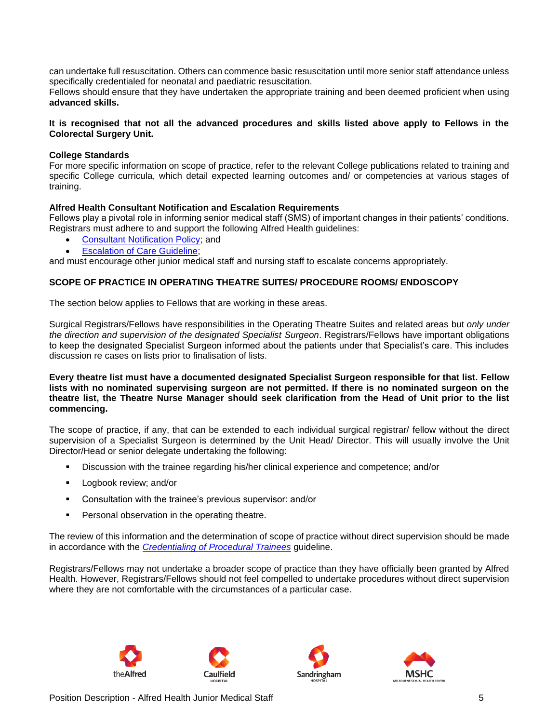can undertake full resuscitation. Others can commence basic resuscitation until more senior staff attendance unless specifically credentialed for neonatal and paediatric resuscitation.

Fellows should ensure that they have undertaken the appropriate training and been deemed proficient when using **advanced skills.**

#### **It is recognised that not all the advanced procedures and skills listed above apply to Fellows in the Colorectal Surgery Unit.**

#### **College Standards**

For more specific information on scope of practice, refer to the relevant College publications related to training and specific College curricula, which detail expected learning outcomes and/ or competencies at various stages of training.

#### **Alfred Health Consultant Notification and Escalation Requirements**

Fellows play a pivotal role in informing senior medical staff (SMS) of important changes in their patients' conditions. Registrars must adhere to and support the following Alfred Health guidelines:

- [Consultant Notification Policy;](http://prompt:89/Search/download.aspx?filename=1149611/1149636/11434412.pdf) and
- **Escalation of Care Guideline:**

and must encourage other junior medical staff and nursing staff to escalate concerns appropriately.

## **SCOPE OF PRACTICE IN OPERATING THEATRE SUITES/ PROCEDURE ROOMS/ ENDOSCOPY**

The section below applies to Fellows that are working in these areas.

Surgical Registrars/Fellows have responsibilities in the Operating Theatre Suites and related areas but *only under the direction and supervision of the designated Specialist Surgeon*. Registrars/Fellows have important obligations to keep the designated Specialist Surgeon informed about the patients under that Specialist's care. This includes discussion re cases on lists prior to finalisation of lists.

**Every theatre list must have a documented designated Specialist Surgeon responsible for that list. Fellow lists with no nominated supervising surgeon are not permitted. If there is no nominated surgeon on the theatre list, the Theatre Nurse Manager should seek clarification from the Head of Unit prior to the list commencing.** 

The scope of practice, if any, that can be extended to each individual surgical registrar/ fellow without the direct supervision of a Specialist Surgeon is determined by the Unit Head/ Director. This will usually involve the Unit Director/Head or senior delegate undertaking the following:

- Discussion with the trainee regarding his/her clinical experience and competence; and/or
- **■** Logbook review; and/or
- Consultation with the trainee's previous supervisor: and/or
- Personal observation in the operating theatre.

The review of this information and the determination of scope of practice without direct supervision should be made in accordance with the *[Credentialing of Procedural Trainees](http://prompt:89/Search/download.aspx?filename=1149611/1149645/22405163.pdf)* guideline.

Registrars/Fellows may not undertake a broader scope of practice than they have officially been granted by Alfred Health. However, Registrars/Fellows should not feel compelled to undertake procedures without direct supervision where they are not comfortable with the circumstances of a particular case.







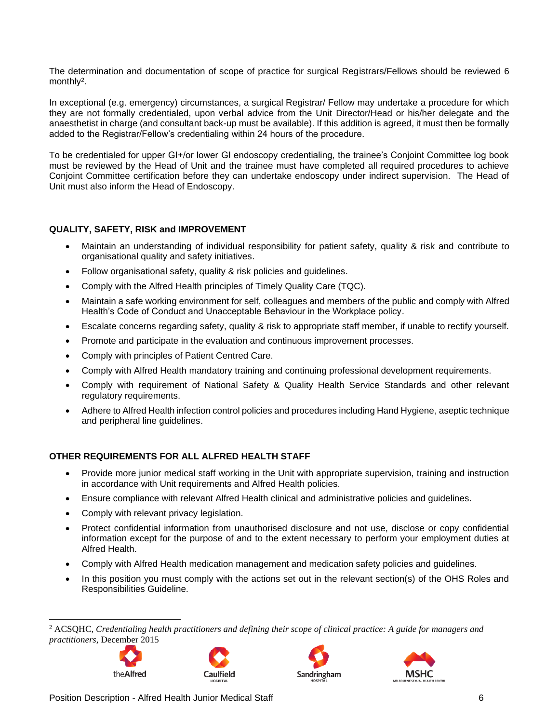The determination and documentation of scope of practice for surgical Registrars/Fellows should be reviewed 6 monthly<sup>2</sup>.

In exceptional (e.g. emergency) circumstances, a surgical Registrar/ Fellow may undertake a procedure for which they are not formally credentialed, upon verbal advice from the Unit Director/Head or his/her delegate and the anaesthetist in charge (and consultant back-up must be available). If this addition is agreed, it must then be formally added to the Registrar/Fellow's credentialing within 24 hours of the procedure.

To be credentialed for upper GI+/or lower GI endoscopy credentialing, the trainee's Conjoint Committee log book must be reviewed by the Head of Unit and the trainee must have completed all required procedures to achieve Conjoint Committee certification before they can undertake endoscopy under indirect supervision. The Head of Unit must also inform the Head of Endoscopy.

## **QUALITY, SAFETY, RISK and IMPROVEMENT**

- Maintain an understanding of individual responsibility for patient safety, quality & risk and contribute to organisational quality and safety initiatives.
- Follow organisational safety, quality & risk policies and guidelines.
- Comply with the Alfred Health principles of Timely Quality Care (TQC).
- Maintain a safe working environment for self, colleagues and members of the public and comply with Alfred Health's Code of Conduct and Unacceptable Behaviour in the Workplace policy.
- Escalate concerns regarding safety, quality & risk to appropriate staff member, if unable to rectify yourself.
- Promote and participate in the evaluation and continuous improvement processes.
- Comply with principles of Patient Centred Care.
- Comply with Alfred Health mandatory training and continuing professional development requirements.
- Comply with requirement of National Safety & Quality Health Service Standards and other relevant regulatory requirements.
- Adhere to Alfred Health infection control policies and procedures including Hand Hygiene, aseptic technique and peripheral line guidelines.

## **OTHER REQUIREMENTS FOR ALL ALFRED HEALTH STAFF**

- Provide more junior medical staff working in the Unit with appropriate supervision, training and instruction in accordance with Unit requirements and Alfred Health policies.
- Ensure compliance with relevant Alfred Health clinical and administrative policies and guidelines.
- Comply with relevant privacy legislation.
- Protect confidential information from unauthorised disclosure and not use, disclose or copy confidential information except for the purpose of and to the extent necessary to perform your employment duties at Alfred Health.
- Comply with Alfred Health medication management and medication safety policies and guidelines.
- In this position you must comply with the actions set out in the relevant section(s) of the OHS Roles and Responsibilities Guideline.

<sup>2</sup> ACSQHC, *Credentialing health practitioners and defining their scope of clinical practice: A guide for managers and practitioners*, December 2015









Position Description - Alfred Health Junior Medical Staff 6 6 6 6 6 6 6 6 7 6 6 6 6 7 7 6 6 6 7 7 7 8 7 7 8 7 7 8 7 7 8 7 7 8 7 7 8 7 7 8 7 7 8 7 7 8 7 7 8 7 7 8 7 7 8 7 7 8 7 7 8 7 7 8 7 7 8 7 7 8 7 7 8 7 7 8 7 7 8 7 7 8